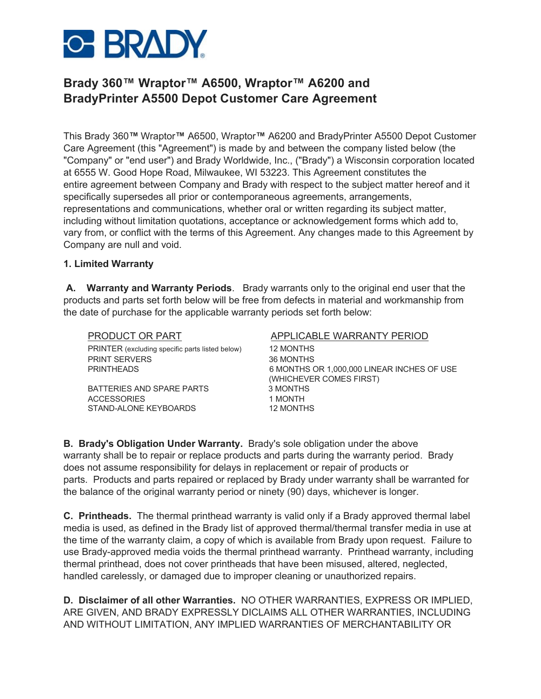

## **Brady 360™ Wraptor™ A6500, Wraptor™ A6200 and BradyPrinter A5500 Depot Customer Care Agreement**

This Brady 360**™** Wraptor**™** A6500, Wraptor**™** A6200 and BradyPrinter A5500 Depot Customer Care Agreement (this "Agreement") is made by and between the company listed below (the "Company" or "end user") and Brady Worldwide, Inc., ("Brady") a Wisconsin corporation located at 6555 W. Good Hope Road, Milwaukee, WI 53223. This Agreement constitutes the entire agreement between Company and Brady with respect to the subject matter hereof and it specifically supersedes all prior or contemporaneous agreements, arrangements, representations and communications, whether oral or written regarding its subject matter, including without limitation quotations, acceptance or acknowledgement forms which add to, vary from, or conflict with the terms of this Agreement. Any changes made to this Agreement by Company are null and void.

## **1. Limited Warranty**

**A. Warranty and Warranty Periods**. Brady warrants only to the original end user that the products and parts set forth below will be free from defects in material and workmanship from the date of purchase for the applicable warranty periods set forth below:

| PRODUCT OR PART                                 | APPLICABLE WARRANTY PERIOD                                            |
|-------------------------------------------------|-----------------------------------------------------------------------|
| PRINTER (excluding specific parts listed below) | 12 MONTHS                                                             |
| <b>PRINT SERVERS</b>                            | 36 MONTHS                                                             |
| <b>PRINTHEADS</b>                               | 6 MONTHS OR 1,000,000 LINEAR INCHES OF USE<br>(WHICHEVER COMES FIRST) |
| BATTERIES AND SPARE PARTS                       | 3 MONTHS                                                              |
| <b>ACCESSORIES</b>                              | 1 MONTH                                                               |
| STAND-ALONE KEYBOARDS                           | 12 MONTHS                                                             |
|                                                 |                                                                       |

**B. Brady's Obligation Under Warranty.** Brady's sole obligation under the above warranty shall be to repair or replace products and parts during the warranty period. Brady does not assume responsibility for delays in replacement or repair of products or parts. Products and parts repaired or replaced by Brady under warranty shall be warranted for the balance of the original warranty period or ninety (90) days, whichever is longer.

**C. Printheads.** The thermal printhead warranty is valid only if a Brady approved thermal label media is used, as defined in the Brady list of approved thermal/thermal transfer media in use at the time of the warranty claim, a copy of which is available from Brady upon request. Failure to use Brady-approved media voids the thermal printhead warranty. Printhead warranty, including thermal printhead, does not cover printheads that have been misused, altered, neglected, handled carelessly, or damaged due to improper cleaning or unauthorized repairs.

**D. Disclaimer of all other Warranties.** NO OTHER WARRANTIES, EXPRESS OR IMPLIED, ARE GIVEN, AND BRADY EXPRESSLY DICLAIMS ALL OTHER WARRANTIES, INCLUDING AND WITHOUT LIMITATION, ANY IMPLIED WARRANTIES OF MERCHANTABILITY OR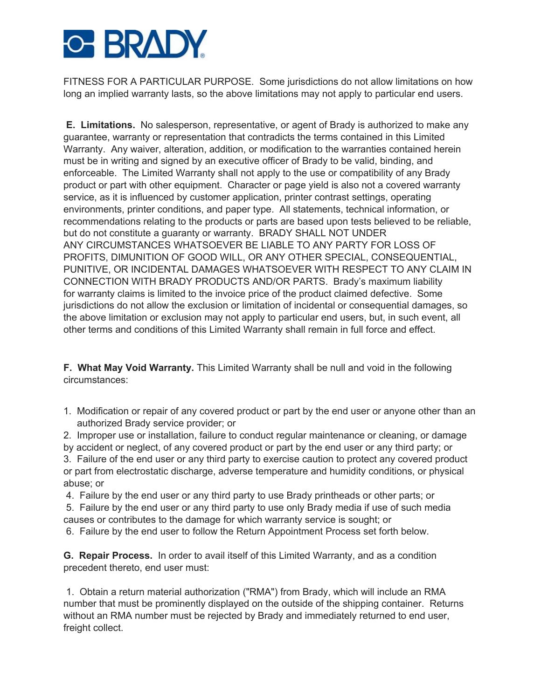## **O-BRADY**

FITNESS FOR A PARTICULAR PURPOSE. Some jurisdictions do not allow limitations on how long an implied warranty lasts, so the above limitations may not apply to particular end users.

**E. Limitations.** No salesperson, representative, or agent of Brady is authorized to make any guarantee, warranty or representation that contradicts the terms contained in this Limited Warranty. Any waiver, alteration, addition, or modification to the warranties contained herein must be in writing and signed by an executive officer of Brady to be valid, binding, and enforceable. The Limited Warranty shall not apply to the use or compatibility of any Brady product or part with other equipment. Character or page yield is also not a covered warranty service, as it is influenced by customer application, printer contrast settings, operating environments, printer conditions, and paper type. All statements, technical information, or recommendations relating to the products or parts are based upon tests believed to be reliable, but do not constitute a guaranty or warranty. BRADY SHALL NOT UNDER ANY CIRCUMSTANCES WHATSOEVER BE LIABLE TO ANY PARTY FOR LOSS OF PROFITS, DIMUNITION OF GOOD WILL, OR ANY OTHER SPECIAL, CONSEQUENTIAL, PUNITIVE, OR INCIDENTAL DAMAGES WHATSOEVER WITH RESPECT TO ANY CLAIM IN CONNECTION WITH BRADY PRODUCTS AND/OR PARTS. Brady's maximum liability for warranty claims is limited to the invoice price of the product claimed defective. Some jurisdictions do not allow the exclusion or limitation of incidental or consequential damages, so the above limitation or exclusion may not apply to particular end users, but, in such event, all other terms and conditions of this Limited Warranty shall remain in full force and effect.

**F. What May Void Warranty.** This Limited Warranty shall be null and void in the following circumstances:

1. Modification or repair of any covered product or part by the end user or anyone other than an authorized Brady service provider; or

2. Improper use or installation, failure to conduct regular maintenance or cleaning, or damage by accident or neglect, of any covered product or part by the end user or any third party; or 3. Failure of the end user or any third party to exercise caution to protect any covered product or part from electrostatic discharge, adverse temperature and humidity conditions, or physical abuse; or

4. Failure by the end user or any third party to use Brady printheads or other parts; or

5. Failure by the end user or any third party to use only Brady media if use of such media causes or contributes to the damage for which warranty service is sought; or

6. Failure by the end user to follow the Return Appointment Process set forth below.

**G. Repair Process.** In order to avail itself of this Limited Warranty, and as a condition precedent thereto, end user must:

1. Obtain a return material authorization ("RMA") from Brady, which will include an RMA number that must be prominently displayed on the outside of the shipping container. Returns without an RMA number must be rejected by Brady and immediately returned to end user, freight collect.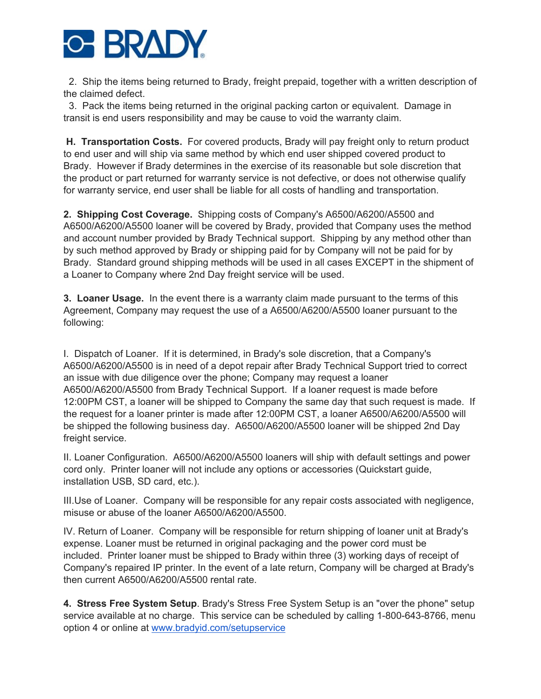

2. Ship the items being returned to Brady, freight prepaid, together with a written description of the claimed defect.

3. Pack the items being returned in the original packing carton or equivalent. Damage in transit is end users responsibility and may be cause to void the warranty claim.

**H. Transportation Costs.** For covered products, Brady will pay freight only to return product to end user and will ship via same method by which end user shipped covered product to Brady. However if Brady determines in the exercise of its reasonable but sole discretion that the product or part returned for warranty service is not defective, or does not otherwise qualify for warranty service, end user shall be liable for all costs of handling and transportation.

**2. Shipping Cost Coverage.** Shipping costs of Company's A6500/A6200/A5500 and A6500/A6200/A5500 loaner will be covered by Brady, provided that Company uses the method and account number provided by Brady Technical support. Shipping by any method other than by such method approved by Brady or shipping paid for by Company will not be paid for by Brady. Standard ground shipping methods will be used in all cases EXCEPT in the shipment of a Loaner to Company where 2nd Day freight service will be used.

**3. Loaner Usage.** In the event there is a warranty claim made pursuant to the terms of this Agreement, Company may request the use of a A6500/A6200/A5500 loaner pursuant to the following:

I. Dispatch of Loaner. If it is determined, in Brady's sole discretion, that a Company's A6500/A6200/A5500 is in need of a depot repair after Brady Technical Support tried to correct an issue with due diligence over the phone; Company may request a loaner A6500/A6200/A5500 from Brady Technical Support. If a loaner request is made before 12:00PM CST, a loaner will be shipped to Company the same day that such request is made. If the request for a loaner printer is made after 12:00PM CST, a loaner A6500/A6200/A5500 will be shipped the following business day. A6500/A6200/A5500 loaner will be shipped 2nd Day freight service.

II. Loaner Configuration. A6500/A6200/A5500 loaners will ship with default settings and power cord only. Printer loaner will not include any options or accessories (Quickstart guide, installation USB, SD card, etc.).

III.Use of Loaner. Company will be responsible for any repair costs associated with negligence, misuse or abuse of the loaner A6500/A6200/A5500.

IV. Return of Loaner. Company will be responsible for return shipping of loaner unit at Brady's expense. Loaner must be returned in original packaging and the power cord must be included. Printer loaner must be shipped to Brady within three (3) working days of receipt of Company's repaired IP printer. In the event of a late return, Company will be charged at Brady's then current A6500/A6200/A5500 rental rate.

**4. Stress Free System Setup**. Brady's Stress Free System Setup is an "over the phone" setup service available at no charge. This service can be scheduled by calling 1-800-643-8766, menu option 4 or online at www.bradyid.com/setupservice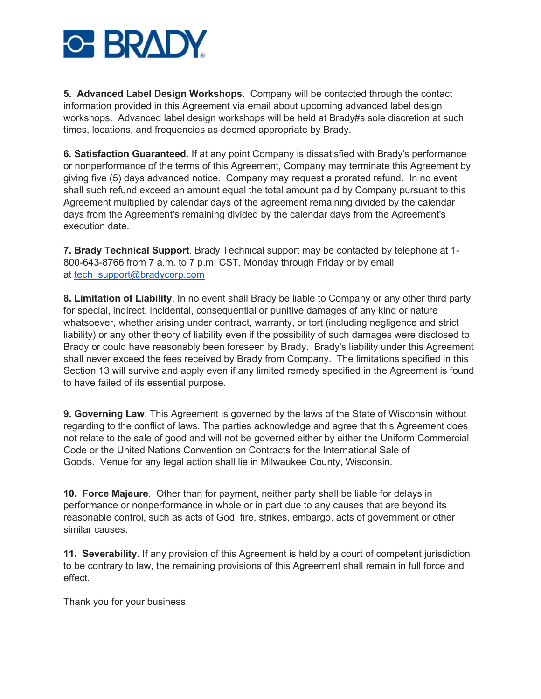

**5. Advanced Label Design Workshops**. Company will be contacted through the contact information provided in this Agreement via email about upcoming advanced label design workshops. Advanced label design workshops will be held at Brady#s sole discretion at such times, locations, and frequencies as deemed appropriate by Brady.

**6. Satisfaction Guaranteed.** If at any point Company is dissatisfied with Brady's performance or nonperformance of the terms of this Agreement, Company may terminate this Agreement by giving five (5) days advanced notice. Company may request a prorated refund. In no event shall such refund exceed an amount equal the total amount paid by Company pursuant to this Agreement multiplied by calendar days of the agreement remaining divided by the calendar days from the Agreement's remaining divided by the calendar days from the Agreement's execution date.

**7. Brady Technical Support**. Brady Technical support may be contacted by telephone at 1- 800-643-8766 from 7 a.m. to 7 p.m. CST, Monday through Friday or by email at tech\_support@bradycorp.com

**8. Limitation of Liability**. In no event shall Brady be liable to Company or any other third party for special, indirect, incidental, consequential or punitive damages of any kind or nature whatsoever, whether arising under contract, warranty, or tort (including negligence and strict liability) or any other theory of liability even if the possibility of such damages were disclosed to Brady or could have reasonably been foreseen by Brady. Brady's liability under this Agreement shall never exceed the fees received by Brady from Company. The limitations specified in this Section 13 will survive and apply even if any limited remedy specified in the Agreement is found to have failed of its essential purpose.

**9. Governing Law**. This Agreement is governed by the laws of the State of Wisconsin without regarding to the conflict of laws. The parties acknowledge and agree that this Agreement does not relate to the sale of good and will not be governed either by either the Uniform Commercial Code or the United Nations Convention on Contracts for the International Sale of Goods. Venue for any legal action shall lie in Milwaukee County, Wisconsin.

**10. Force Majeure**. Other than for payment, neither party shall be liable for delays in performance or nonperformance in whole or in part due to any causes that are beyond its reasonable control, such as acts of God, fire, strikes, embargo, acts of government or other similar causes.

**11. Severability**. If any provision of this Agreement is held by a court of competent jurisdiction to be contrary to law, the remaining provisions of this Agreement shall remain in full force and effect.

Thank you for your business.